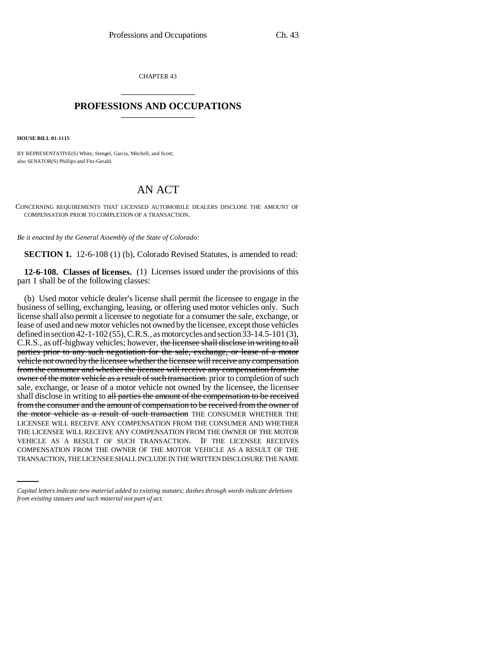CHAPTER 43 \_\_\_\_\_\_\_\_\_\_\_\_\_\_\_

## **PROFESSIONS AND OCCUPATIONS** \_\_\_\_\_\_\_\_\_\_\_\_\_\_\_

**HOUSE BILL 01-1115**

BY REPRESENTATIVE(S) White, Stengel, Garcia, Mitchell, and Scott; also SENATOR(S) Phillips and Fitz-Gerald.

## AN ACT

CONCERNING REQUIREMENTS THAT LICENSED AUTOMOBILE DEALERS DISCLOSE THE AMOUNT OF COMPENSATION PRIOR TO COMPLETION OF A TRANSACTION.

*Be it enacted by the General Assembly of the State of Colorado:*

**SECTION 1.** 12-6-108 (1) (b), Colorado Revised Statutes, is amended to read:

**12-6-108. Classes of licenses.** (1) Licenses issued under the provisions of this part 1 shall be of the following classes:

VEHICLE AS A RESULT OF SUCH TRANSACTION. IF THE LICENSEE RECEIVES (b) Used motor vehicle dealer's license shall permit the licensee to engage in the business of selling, exchanging, leasing, or offering used motor vehicles only. Such license shall also permit a licensee to negotiate for a consumer the sale, exchange, or lease of used and new motor vehicles not owned by the licensee, except those vehicles defined in section 42-1-102 (55), C.R.S., as motorcycles and section 33-14.5-101 (3), C.R.S., as off-highway vehicles; however, the licensee shall disclose in writing to all parties prior to any such negotiation for the sale, exchange, or lease of a motor vehicle not owned by the licensee whether the licensee will receive any compensation from the consumer and whether the licensee will receive any compensation from the owner of the motor vehicle as a result of such transaction. prior to completion of such sale, exchange, or lease of a motor vehicle not owned by the licensee, the licensee shall disclose in writing to all parties the amount of the compensation to be received from the consumer and the amount of compensation to be received from the owner of the motor vehicle as a result of such transaction THE CONSUMER WHETHER THE LICENSEE WILL RECEIVE ANY COMPENSATION FROM THE CONSUMER AND WHETHER THE LICENSEE WILL RECEIVE ANY COMPENSATION FROM THE OWNER OF THE MOTOR COMPENSATION FROM THE OWNER OF THE MOTOR VEHICLE AS A RESULT OF THE TRANSACTION, THE LICENSEE SHALL INCLUDE IN THE WRITTEN DISCLOSURE THE NAME

*Capital letters indicate new material added to existing statutes; dashes through words indicate deletions from existing statutes and such material not part of act.*